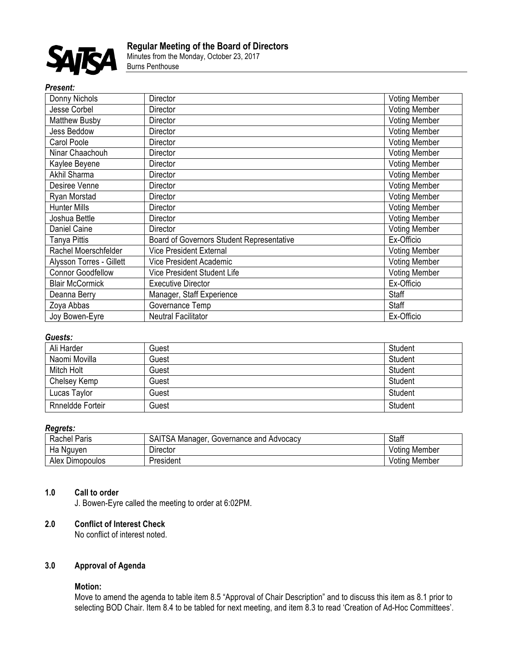

Minutes from the Monday, October 23, 2017 Burns Penthouse

#### *Present:*

| Donny Nichols            | Director                                  | <b>Voting Member</b> |
|--------------------------|-------------------------------------------|----------------------|
| Jesse Corbel             | Director                                  | <b>Voting Member</b> |
| <b>Matthew Busby</b>     | Director                                  | <b>Voting Member</b> |
| Jess Beddow              | Director                                  | <b>Voting Member</b> |
| Carol Poole              | <b>Director</b>                           | <b>Voting Member</b> |
| Ninar Chaachouh          | Director                                  | <b>Voting Member</b> |
| Kaylee Beyene            | Director                                  | Voting Member        |
| Akhil Sharma             | Director                                  | <b>Voting Member</b> |
| Desiree Venne            | Director                                  | <b>Voting Member</b> |
| Ryan Morstad             | Director                                  | <b>Voting Member</b> |
| <b>Hunter Mills</b>      | Director                                  | <b>Voting Member</b> |
| Joshua Bettle            | Director                                  | <b>Voting Member</b> |
| Daniel Caine             | Director                                  | <b>Voting Member</b> |
| Tanya Pittis             | Board of Governors Student Representative | Ex-Officio           |
| Rachel Moerschfelder     | <b>Vice President External</b>            | <b>Voting Member</b> |
| Alysson Torres - Gillett | Vice President Academic                   | <b>Voting Member</b> |
| <b>Connor Goodfellow</b> | Vice President Student Life               | <b>Voting Member</b> |
| <b>Blair McCormick</b>   | <b>Executive Director</b>                 | Ex-Officio           |
| Deanna Berry             | Manager, Staff Experience                 | Staff                |
| Zoya Abbas               | Governance Temp                           | Staff                |
| Joy Bowen-Eyre           | <b>Neutral Facilitator</b>                | Ex-Officio           |

## *Guests:*

| Ali Harder       | Guest | Student |
|------------------|-------|---------|
| Naomi Movilla    | Guest | Student |
| Mitch Holt       | Guest | Student |
| Chelsey Kemp     | Guest | Student |
| Lucas Taylor     | Guest | Student |
| Rnneldde Forteir | Guest | Student |

## *Regrets:*

| <b>Rachel Paris</b>                                   | ∵'TSA .<br>SAI<br>Governance and Advocacy<br>. Manader | Staff                |
|-------------------------------------------------------|--------------------------------------------------------|----------------------|
| на<br>Nauven                                          | Director                                               | <b>Voting Member</b> |
| $\overline{\phantom{a}}$<br>Alex<br><b>Dimopoulos</b> | President                                              | Voting<br>. Member   |

## **1.0 Call to order**

J. Bowen-Eyre called the meeting to order at 6:02PM.

#### **2.0 Conflict of Interest Check**

No conflict of interest noted.

# **3.0 Approval of Agenda**

### **Motion:**

Move to amend the agenda to table item 8.5 "Approval of Chair Description" and to discuss this item as 8.1 prior to selecting BOD Chair. Item 8.4 to be tabled for next meeting, and item 8.3 to read 'Creation of Ad-Hoc Committees'.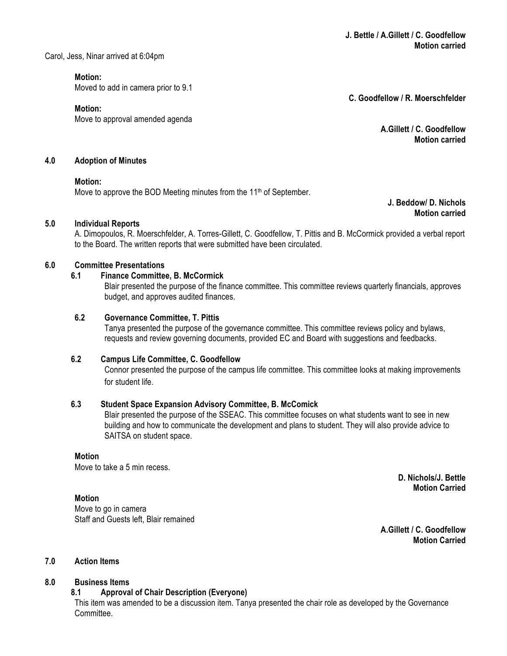Carol, Jess, Ninar arrived at 6:04pm

**Motion:**

Moved to add in camera prior to 9.1

**Motion:**

Move to approval amended agenda

**C. Goodfellow / R. Moerschfelder**

**A.Gillett / C. Goodfellow Motion carried**

#### **4.0 Adoption of Minutes**

#### **Motion:**

Move to approve the BOD Meeting minutes from the  $11<sup>th</sup>$  of September.

**J. Beddow/ D. Nichols Motion carried**

### **5.0 Individual Reports**

A. Dimopoulos, R. Moerschfelder, A. Torres-Gillett, C. Goodfellow, T. Pittis and B. McCormick provided a verbal report to the Board. The written reports that were submitted have been circulated.

### **6.0 Committee Presentations**

### **6.1 Finance Committee, B. McCormick**

Blair presented the purpose of the finance committee. This committee reviews quarterly financials, approves budget, and approves audited finances.

### **6.2 Governance Committee, T. Pittis**

Tanya presented the purpose of the governance committee. This committee reviews policy and bylaws, requests and review governing documents, provided EC and Board with suggestions and feedbacks.

### **6.2 Campus Life Committee, C. Goodfellow**

Connor presented the purpose of the campus life committee. This committee looks at making improvements for student life.

#### **6.3 Student Space Expansion Advisory Committee, B. McComick**

Blair presented the purpose of the SSEAC. This committee focuses on what students want to see in new building and how to communicate the development and plans to student. They will also provide advice to SAITSA on student space.

### **Motion**

Move to take a 5 min recess.

### **Motion**

Move to go in camera Staff and Guests left, Blair remained

**A.Gillett / C. Goodfellow Motion Carried**

**D. Nichols/J. Bettle Motion Carried**

# **7.0 Action Items**

### **8.0 Business Items**

### **8.1 Approval of Chair Description (Everyone)**

This item was amended to be a discussion item. Tanya presented the chair role as developed by the Governance **Committee**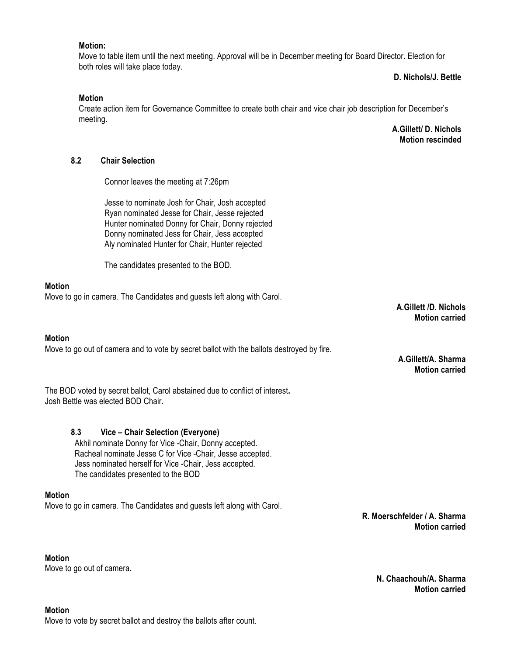#### **Motion:**

Move to table item until the next meeting. Approval will be in December meeting for Board Director. Election for both roles will take place today.

**D. Nichols/J. Bettle**

#### **Motion**

Create action item for Governance Committee to create both chair and vice chair job description for December's meeting.

> **A.Gillett/ D. Nichols Motion rescinded**

# **8.2 Chair Selection**

Connor leaves the meeting at 7:26pm

Jesse to nominate Josh for Chair, Josh accepted Ryan nominated Jesse for Chair, Jesse rejected Hunter nominated Donny for Chair, Donny rejected Donny nominated Jess for Chair, Jess accepted Aly nominated Hunter for Chair, Hunter rejected

The candidates presented to the BOD.

### **Motion**

Move to go in camera. The Candidates and guests left along with Carol.

#### **Motion**

Move to go out of camera and to vote by secret ballot with the ballots destroyed by fire.

The BOD voted by secret ballot, Carol abstained due to conflict of interest**.**  Josh Bettle was elected BOD Chair.

### **8.3 Vice – Chair Selection (Everyone)**

Akhil nominate Donny for Vice -Chair, Donny accepted. Racheal nominate Jesse C for Vice -Chair, Jesse accepted. Jess nominated herself for Vice -Chair, Jess accepted. The candidates presented to the BOD

#### **Motion**

Move to go in camera. The Candidates and guests left along with Carol.

**Motion**  Move to go out of camera. **A.Gillett /D. Nichols Motion carried**

**A.Gillett/A. Sharma Motion carried** 

**R. Moerschfelder / A. Sharma Motion carried**

> **N. Chaachouh/A. Sharma Motion carried**